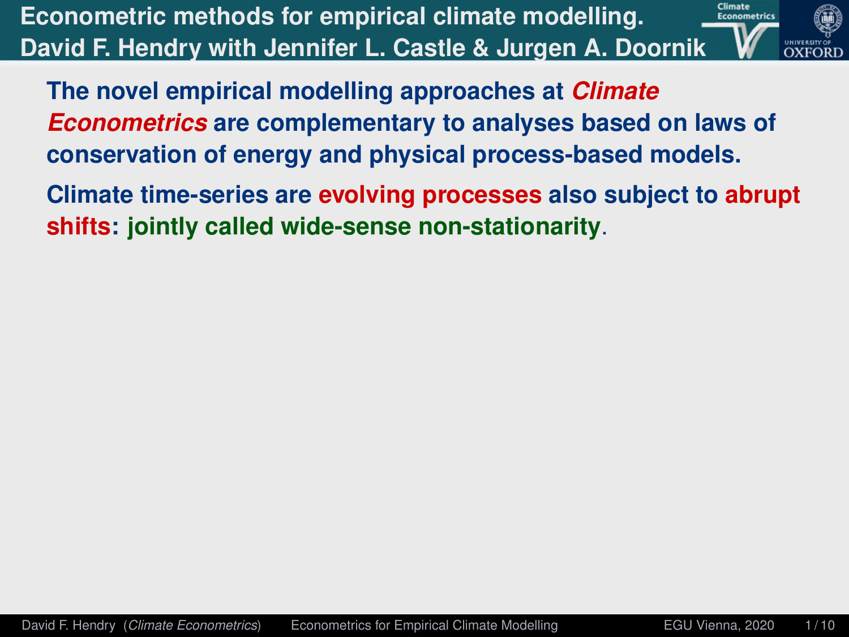<span id="page-0-0"></span>**Econometric methods for empirical climate modelling. David F. Hendry with Jennifer L. Castle & Jurgen A. Doornik**



**The novel empirical modelling approaches at** *Climate Econometrics* **are complementary to analyses based on laws of conservation of energy and physical process-based models.**

**Climate time-series are evolving processes also subject to abrupt shifts: jointly called wide-sense non-stationarity**.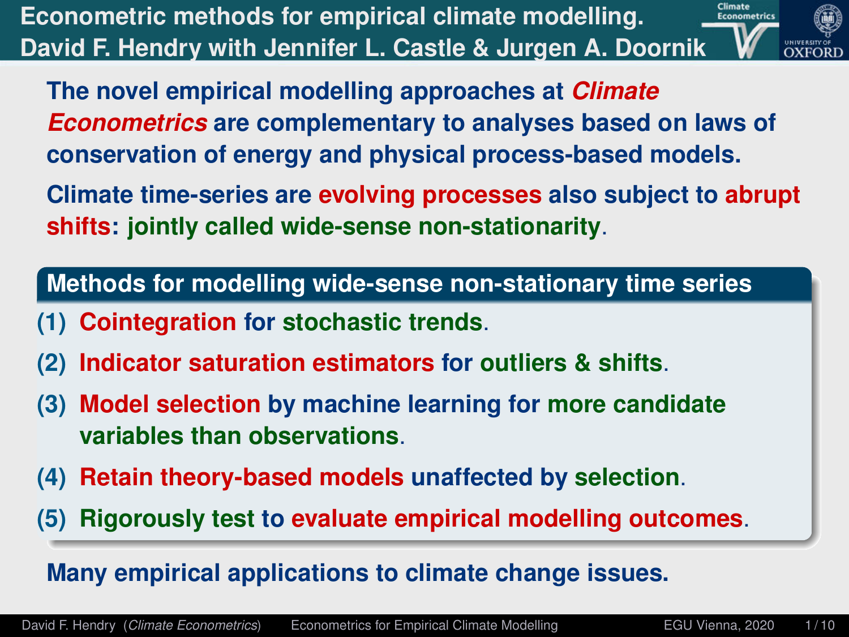**Econometric methods for empirical climate modelling. David F. Hendry with Jennifer L. Castle & Jurgen A. Doornik**



**The novel empirical modelling approaches at** *Climate Econometrics* **are complementary to analyses based on laws of conservation of energy and physical process-based models.**

**Climate time-series are evolving processes also subject to abrupt shifts: jointly called wide-sense non-stationarity**.

**Methods for modelling wide-sense non-stationary time series**

- **(1) Cointegration for stochastic trends**.
- **(2) Indicator saturation estimators for outliers & shifts**.
- **(3) Model selection by machine learning for more candidate variables than observations**.
- **(4) Retain theory-based models unaffected by selection**.
- **(5) Rigorously test to evaluate empirical modelling outcomes**.

### **Many empirical applications to climate change issues.**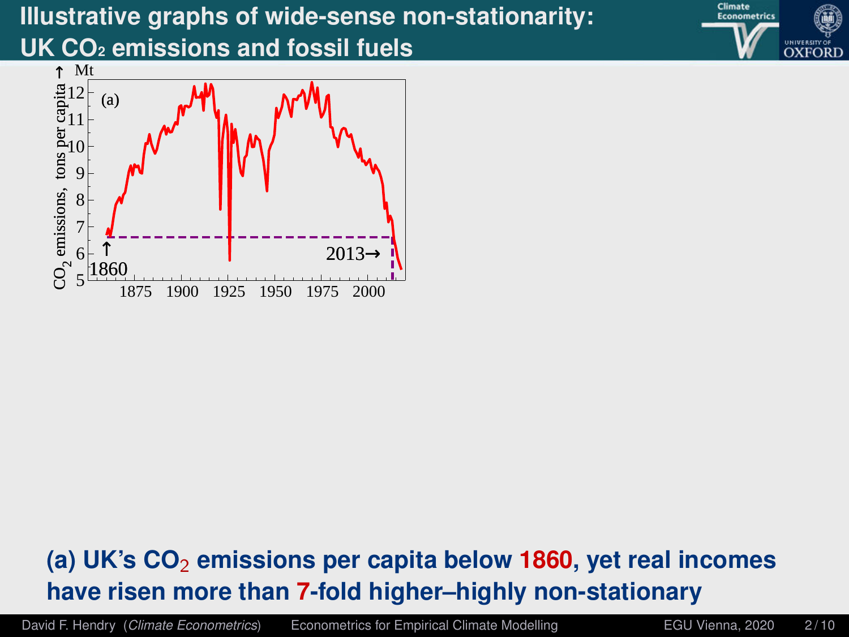



# **(a) UK's CO**<sup>2</sup> **emissions per capita below 1860, yet real incomes have risen more than 7-fold higher–highly non-stationary**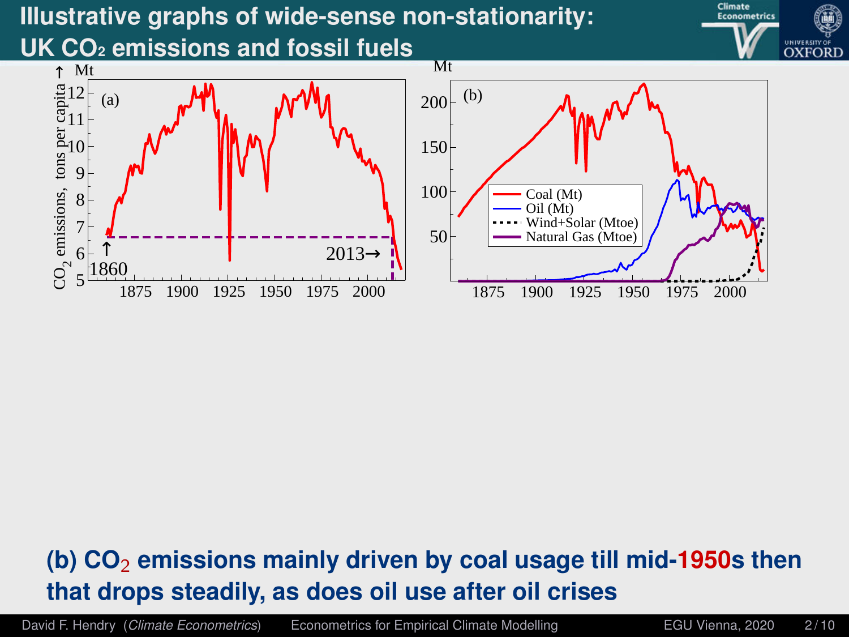



# **(b) CO**<sup>2</sup> **emissions mainly driven by coal usage till mid-1950s then that drops steadily, as does oil use after oil crises**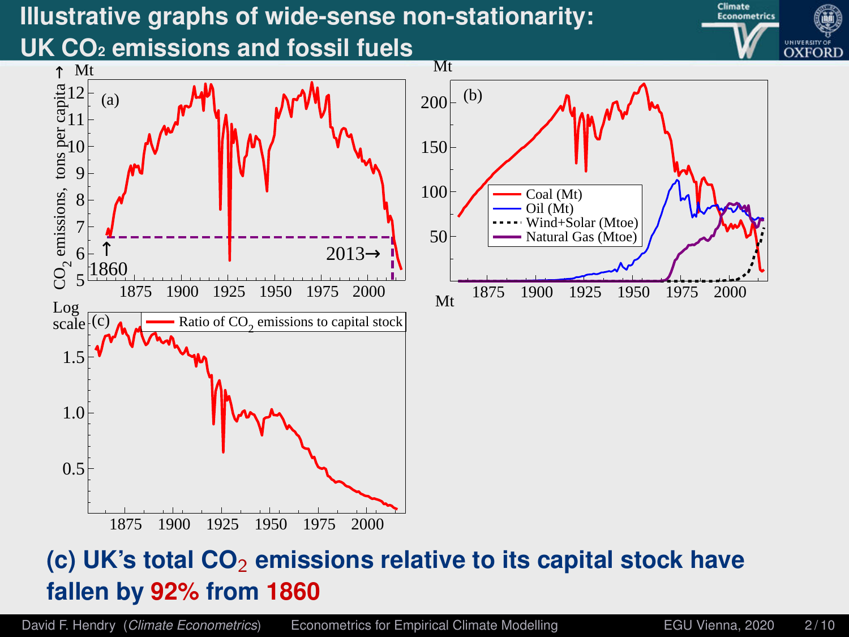



## **(c) UK's total CO**<sup>2</sup> **emissions relative to its capital stock have fallen by 92% from 1860**

Coal (Mt) Oil (Mt) Wind+Solar (Mtoe)

David F. Hendry (*Climate Econometrics*) [Econometrics for Empirical Climate Modelling](#page-0-0) Face EGU Vienna, 2020 2/10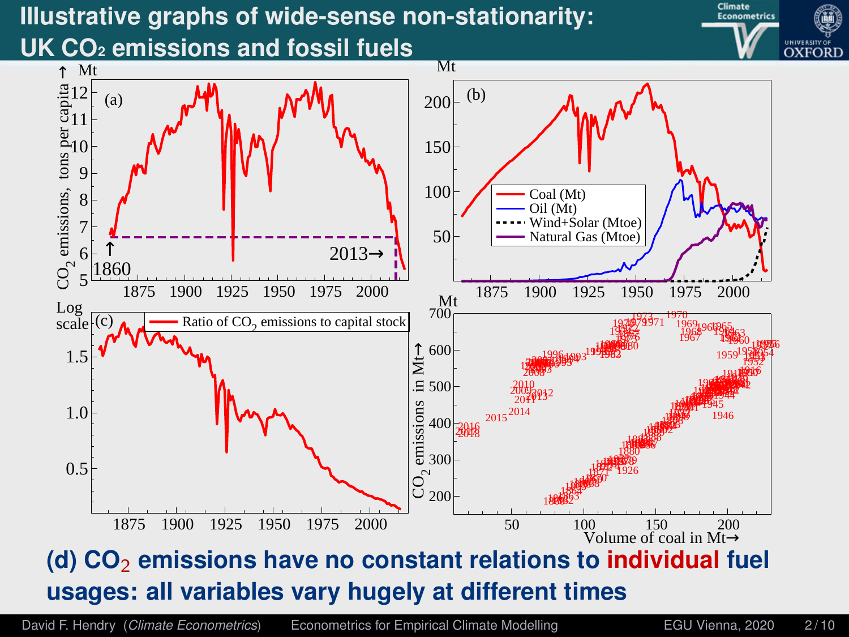



# **(d) CO**<sup>2</sup> **emissions have no constant relations to individual fuel usages: all variables vary hugely at different times**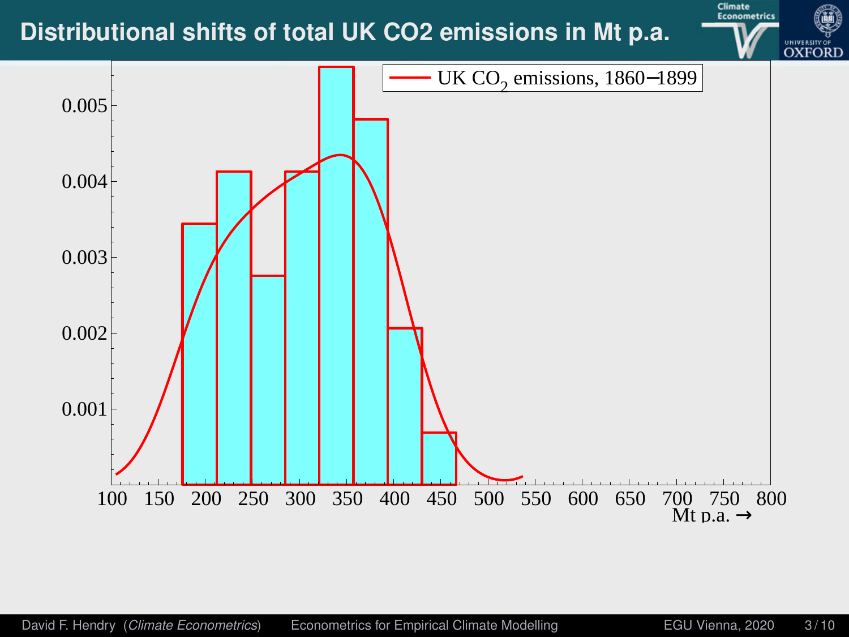

**Climate**<br>Econometrics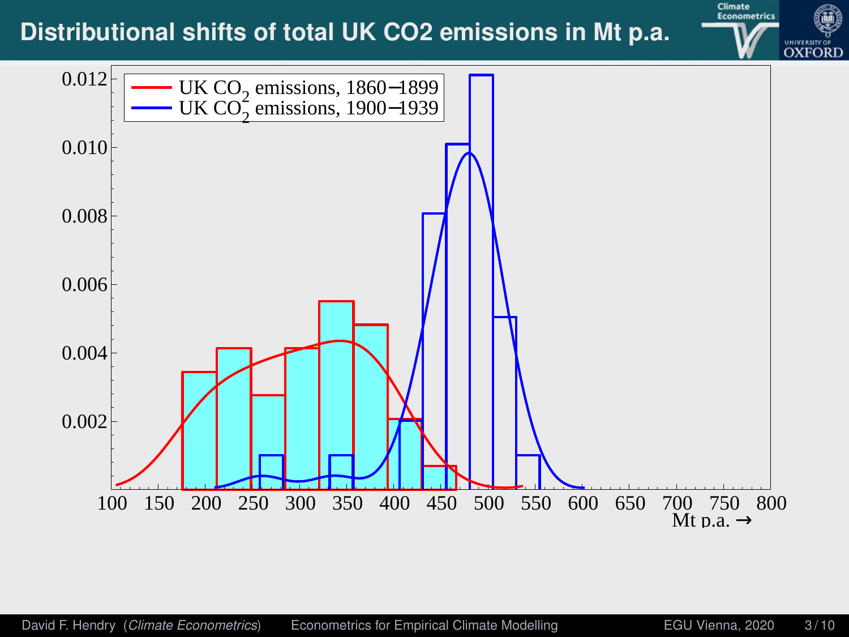

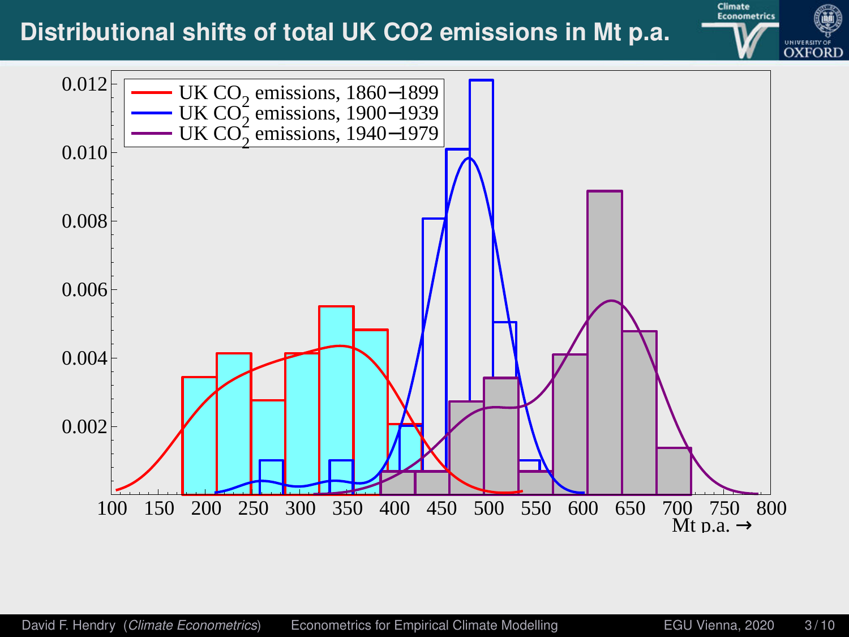

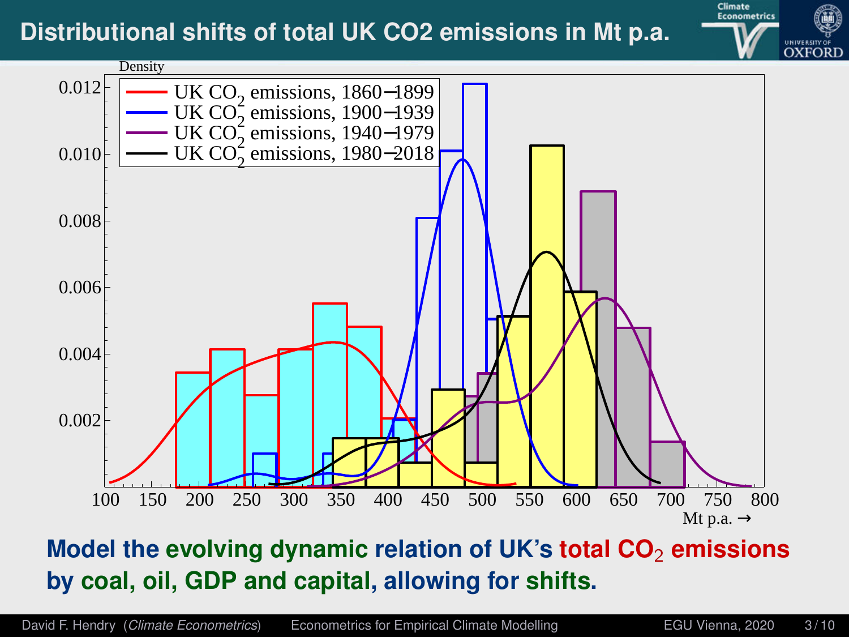



## **Model the evolving dynamic relation of UK's total CO**<sup>2</sup> **emissions by coal, oil, GDP and capital, allowing for shifts.**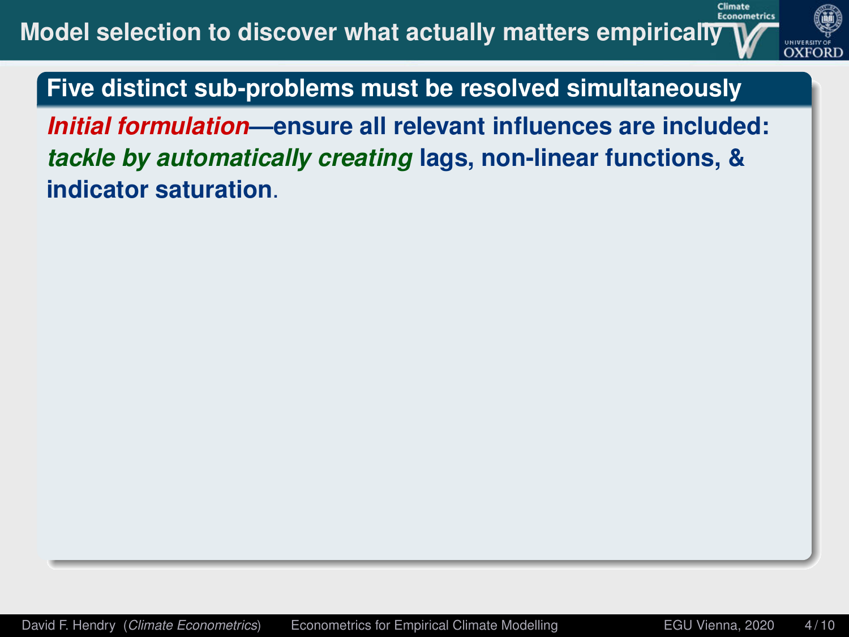

Climate

**Five distinct sub-problems must be resolved simultaneously**

*Initial formulation***—ensure all relevant influences are included:** *tackle by automatically creating* **lags, non-linear functions, & indicator saturation**.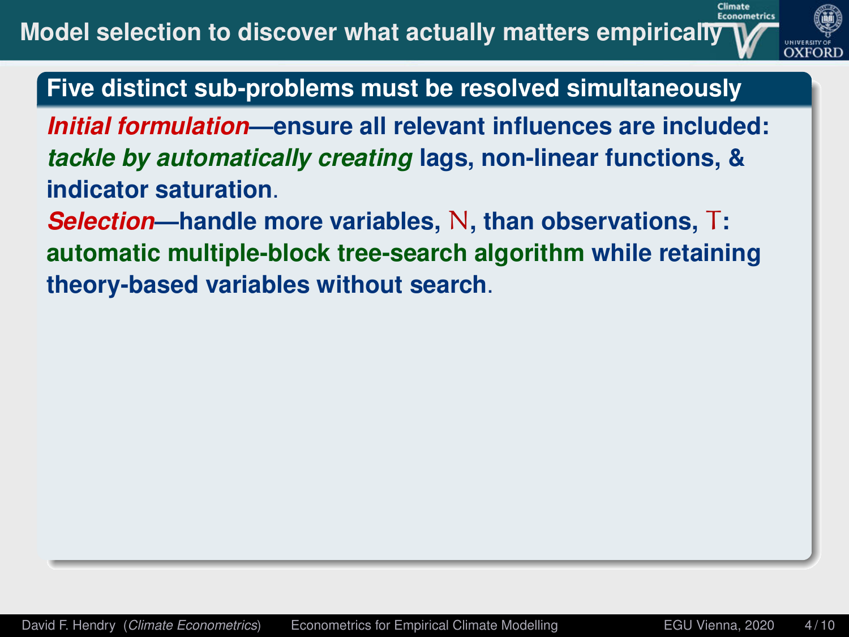

*Initial formulation***—ensure all relevant influences are included:** *tackle by automatically creating* **lags, non-linear functions, & indicator saturation**.

*Selection***—handle more variables,** N**, than observations,** T**: automatic multiple-block tree-search algorithm while retaining theory-based variables without search**.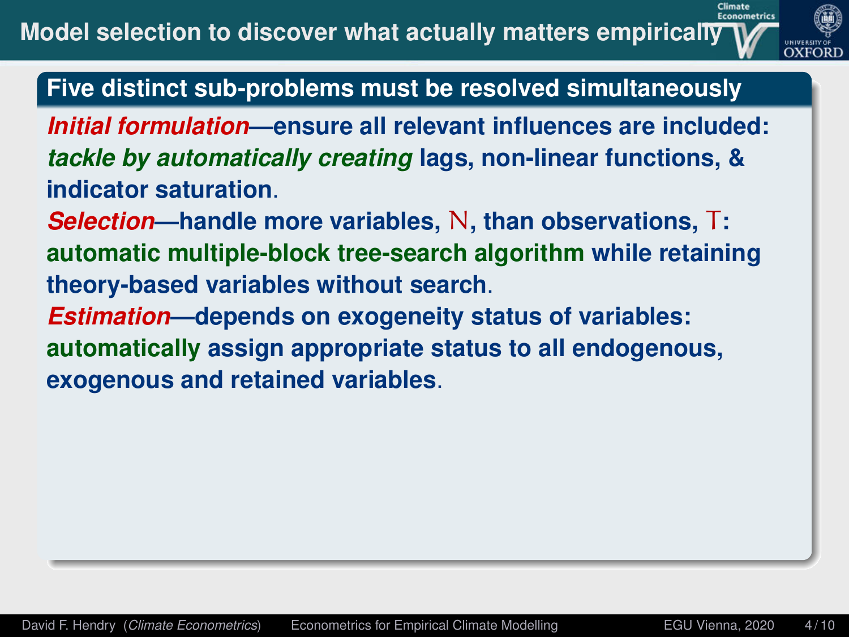

*Initial formulation***—ensure all relevant influences are included:** *tackle by automatically creating* **lags, non-linear functions, & indicator saturation**.

*Selection***—handle more variables,** N**, than observations,** T**: automatic multiple-block tree-search algorithm while retaining theory-based variables without search**.

*Estimation***—depends on exogeneity status of variables: automatically assign appropriate status to all endogenous, exogenous and retained variables**.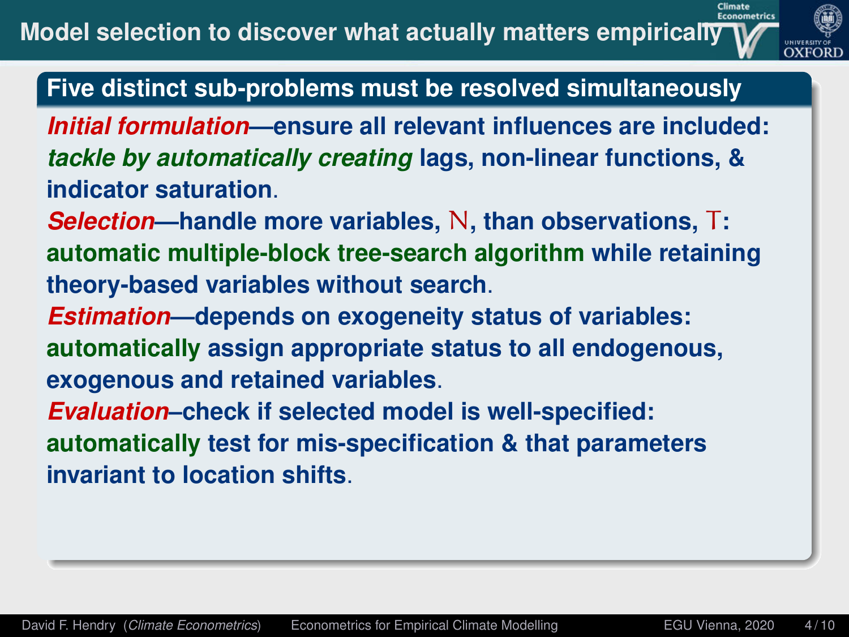

*Initial formulation***—ensure all relevant influences are included:** *tackle by automatically creating* **lags, non-linear functions, & indicator saturation**.

*Selection***—handle more variables,** N**, than observations,** T**: automatic multiple-block tree-search algorithm while retaining theory-based variables without search**.

*Estimation***—depends on exogeneity status of variables: automatically assign appropriate status to all endogenous, exogenous and retained variables**.

*Evaluation***–check if selected model is well-specified: automatically test for mis-specification & that parameters invariant to location shifts**.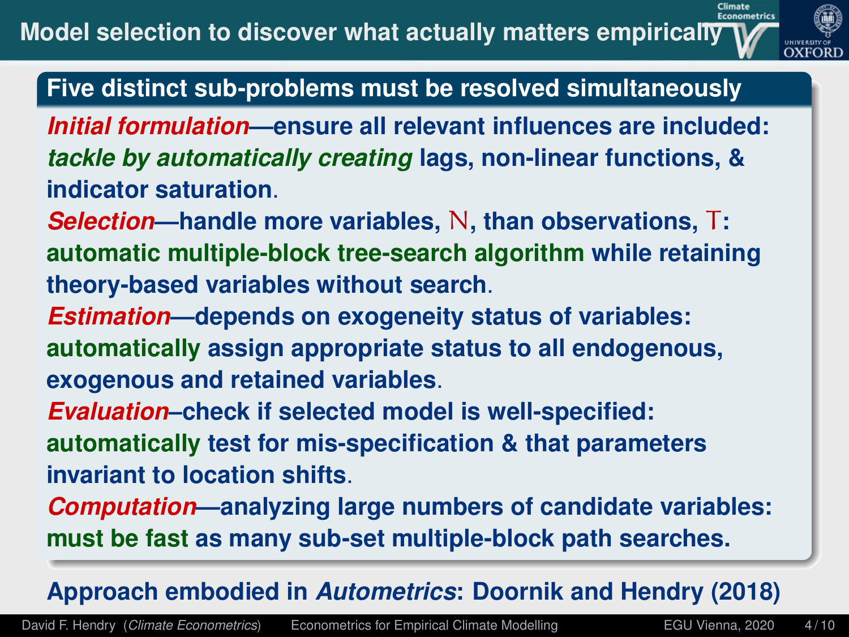

- *Initial formulation***—ensure all relevant influences are included:** *tackle by automatically creating* **lags, non-linear functions, & indicator saturation**.
- *Selection***—handle more variables,** N**, than observations,** T**: automatic multiple-block tree-search algorithm while retaining theory-based variables without search**.
- *Estimation***—depends on exogeneity status of variables: automatically assign appropriate status to all endogenous, exogenous and retained variables**.
- *Evaluation***–check if selected model is well-specified: automatically test for mis-specification & that parameters invariant to location shifts**.
- *Computation***—analyzing large numbers of candidate variables: must be fast as many sub-set multiple-block path searches.**

# **Approach embodied in** *Autometrics***: [Doornik and Hendry \(2018\)](#page-26-1)**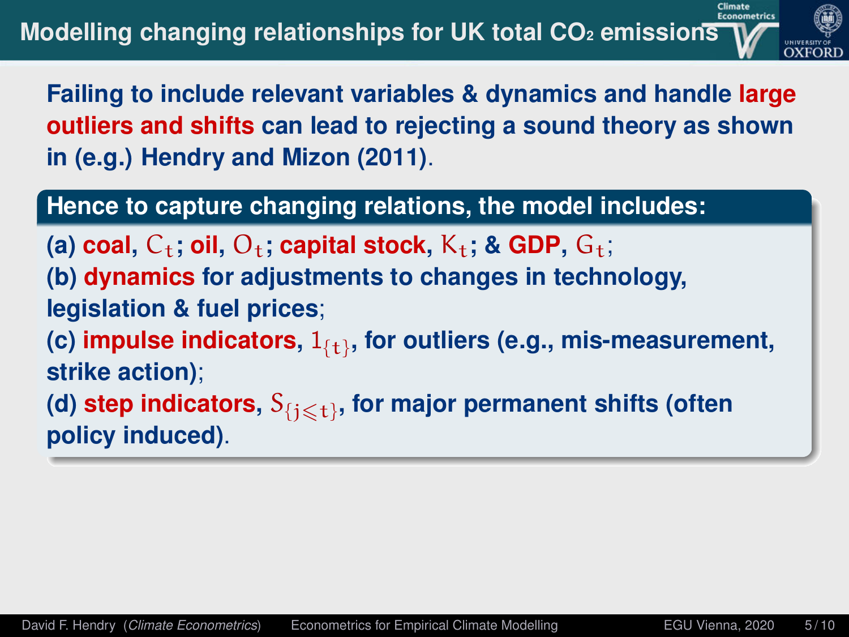

**Failing to include relevant variables & dynamics and handle large outliers and shifts can lead to rejecting a sound theory as shown in (e.g.) Hendry and Mizon (2011)**.

### **Hence to capture changing relations, the model includes:**

 $(a)$  **coal,**  $C_t$ ; **oil,**  $O_t$ ; **capital stock,**  $K_t$ ; & **GDP**,  $G_t$ ;

**(b) dynamics for adjustments to changes in technology,**

**legislation & fuel prices**;

(c) **impulse indicators**,  $1_{\{\mathbf{t}\}}$ , for outliers (e.g., mis-measurement, **strike action)**;

(d) step indicators,  $\mathbf{S}_{\{j\leqslant \mathbf{t}\}}$ , for major permanent shifts (often **policy induced)**.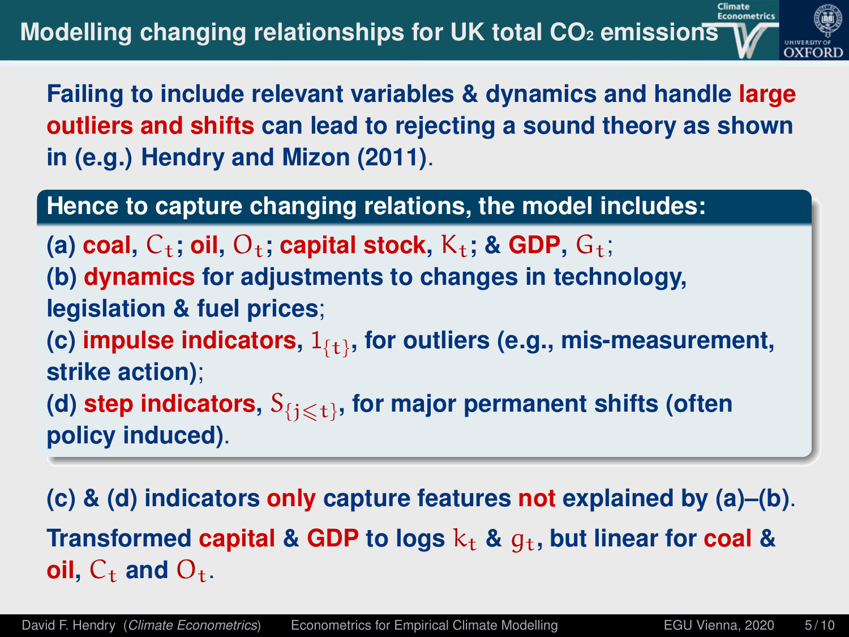

**Failing to include relevant variables & dynamics and handle large outliers and shifts can lead to rejecting a sound theory as shown in (e.g.) Hendry and Mizon (2011)**.

### **Hence to capture changing relations, the model includes:**

 $(a)$  **coal,**  $C_t$ ; **oil,**  $O_t$ ; **capital stock,**  $K_t$ ; & **GDP**,  $G_t$ ;

**(b) dynamics for adjustments to changes in technology, legislation & fuel prices**;

(c) **impulse indicators**,  $1_{\{\mathbf{t}\}}$ , for outliers (e.g., mis-measurement, **strike action)**;

(d) step indicators,  $\mathbf{S}_{\{j\leqslant \mathbf{t}\}}$ , for major permanent shifts (often **policy induced)**.

**(c) & (d) indicators only capture features not explained by (a)–(b)**. **Transformed capital** & GDP to logs  $k_t$  &  $q_t$ , but linear for coal & **oil,**  $C_{\rm t}$  and  $O_{\rm t}$ .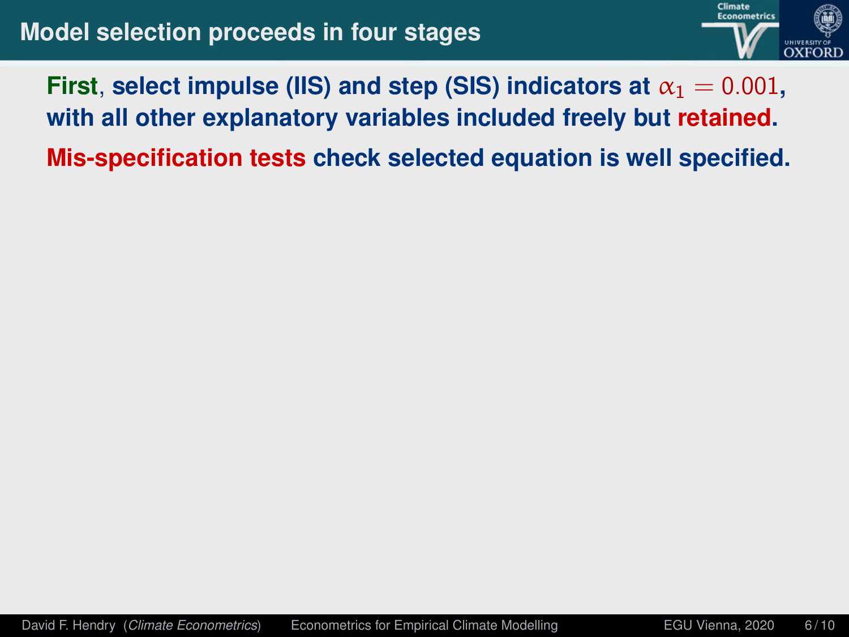

# **First**, select impulse (IIS) and step (SIS) indicators at  $\alpha_1 = 0.001$ , **with all other explanatory variables included freely but retained.**

**Mis-specification tests check selected equation is well specified.**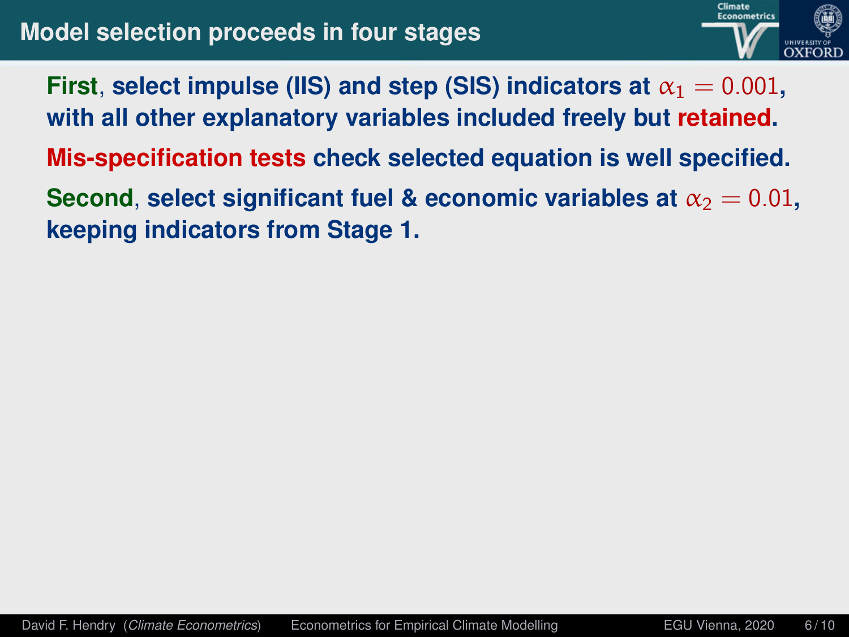

**First**, select impulse (IIS) and step (SIS) indicators at  $\alpha_1 = 0.001$ , **with all other explanatory variables included freely but retained.**

**Mis-specification tests check selected equation is well specified.**

**Second**, **select significant fuel & economic variables at**  $\alpha_2 = 0.01$ , **keeping indicators from Stage 1.**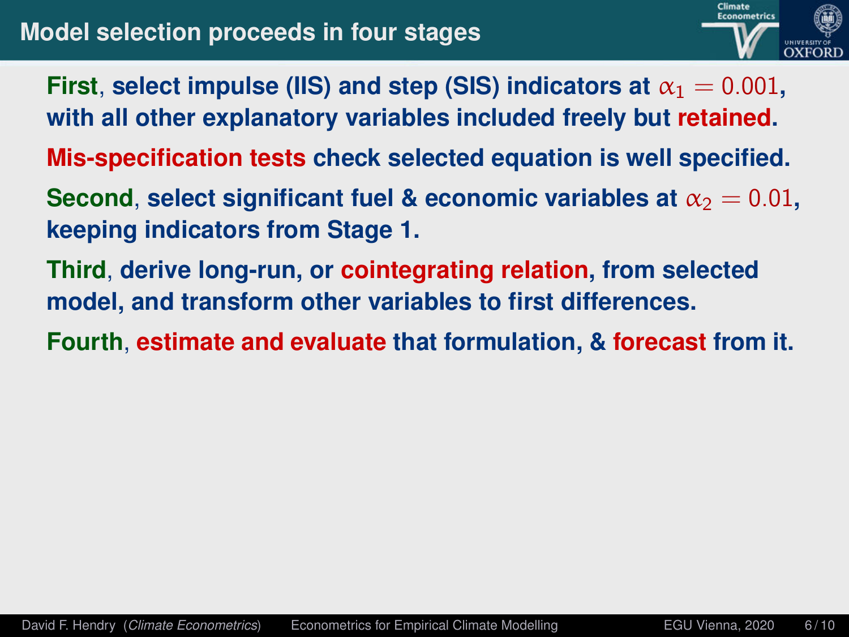

- **First**, select impulse (IIS) and step (SIS) indicators at  $\alpha_1 = 0.001$ , **with all other explanatory variables included freely but retained.**
- **Mis-specification tests check selected equation is well specified.**
- **Second**, **select significant fuel & economic variables at**  $\alpha_2 = 0.01$ , **keeping indicators from Stage 1.**
- **Third**, **derive long-run, or cointegrating relation, from selected model, and transform other variables to first differences.**
- **Fourth**, **estimate and evaluate that formulation, & forecast from it.**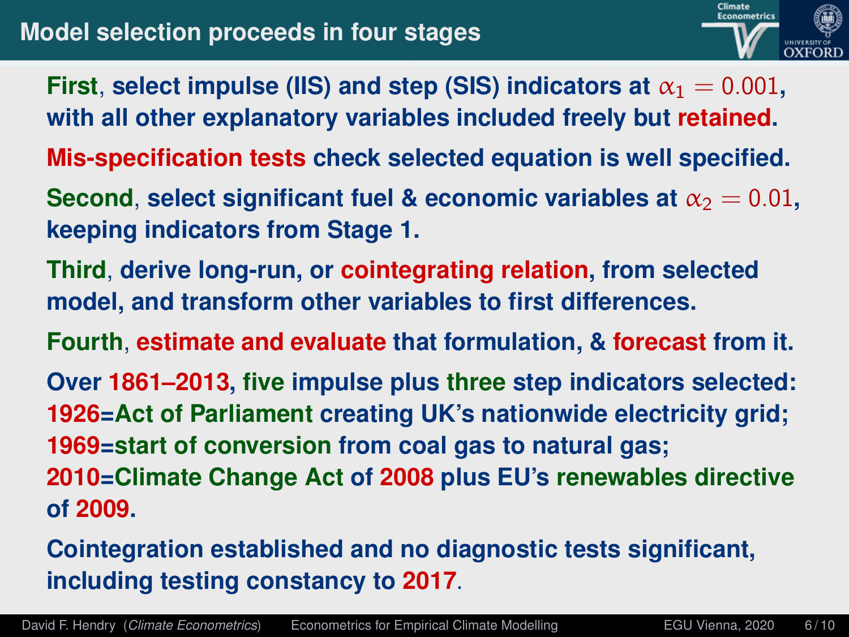

- **First**, select impulse (IIS) and step (SIS) indicators at  $\alpha_1 = 0.001$ , **with all other explanatory variables included freely but retained.**
- **Mis-specification tests check selected equation is well specified.**
- **Second**, **select significant fuel & economic variables at**  $\alpha_2 = 0.01$ , **keeping indicators from Stage 1.**
- **Third**, **derive long-run, or cointegrating relation, from selected model, and transform other variables to first differences.**
- **Fourth**, **estimate and evaluate that formulation, & forecast from it.**
- **Over 1861–2013, five impulse plus three step indicators selected: 1926=Act of Parliament creating UK's nationwide electricity grid; 1969=start of conversion from coal gas to natural gas; 2010=Climate Change Act of 2008 plus EU's renewables directive**
- **of 2009.**
- **Cointegration established and no diagnostic tests significant, including testing constancy to 2017**.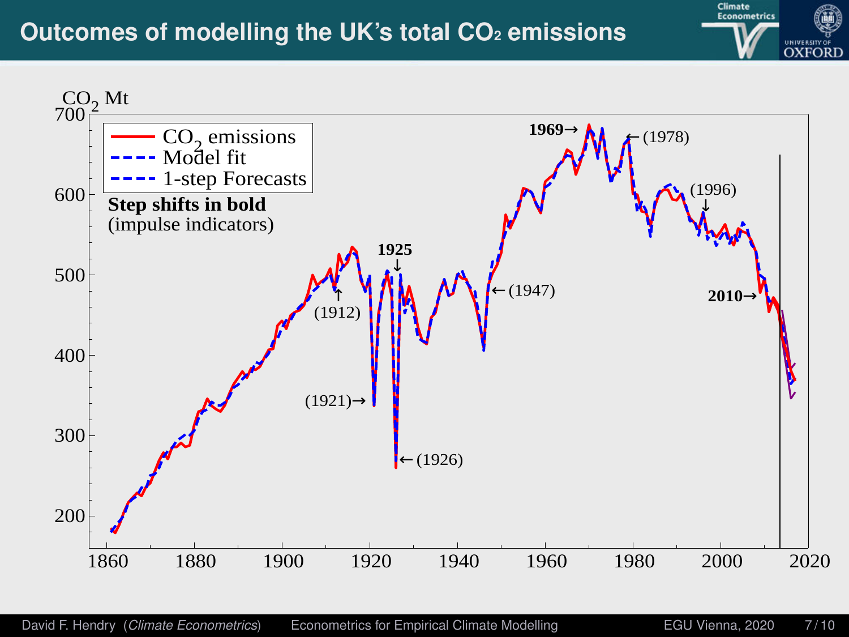## **Outcomes of modelling the UK's total CO<sup>2</sup> emissions**



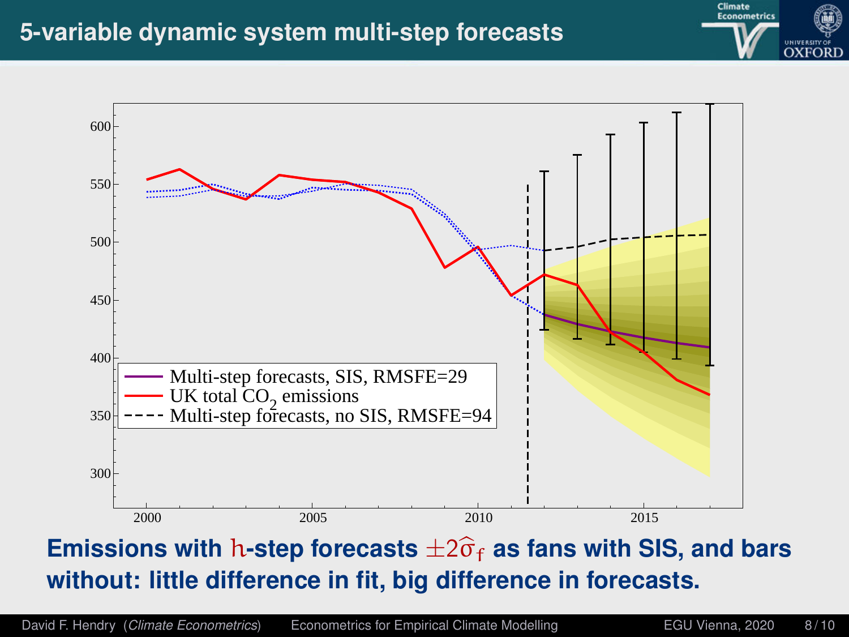### **5-variable dynamic system multi-step forecasts**





# **Emissions with h-step forecasts**  $\pm 2\hat{\sigma}_f$  as fans with SIS, and bars **without: little difference in fit, big difference in forecasts.**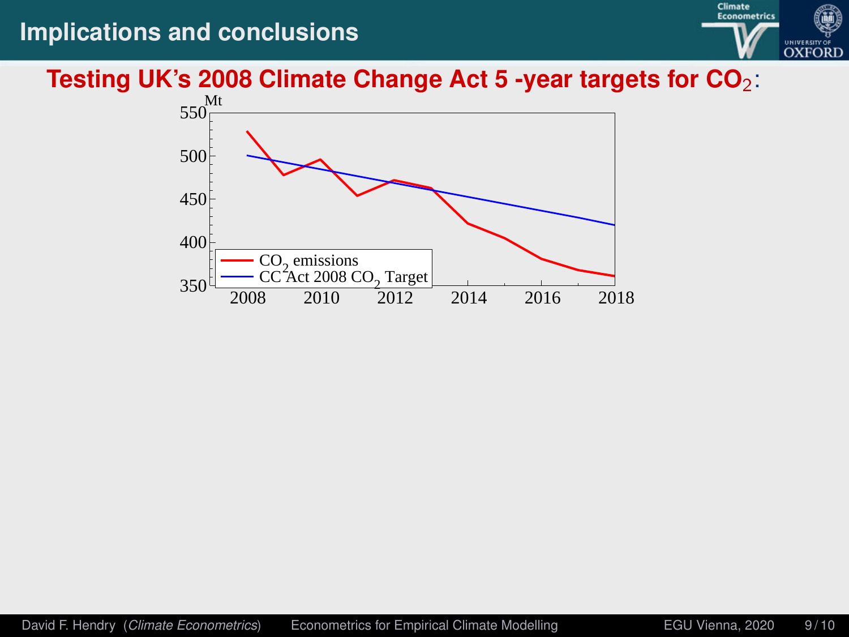### **Implications and conclusions**



#### **Testing UK's 2008 Climate Change Act 5 -year targets for CO**2:

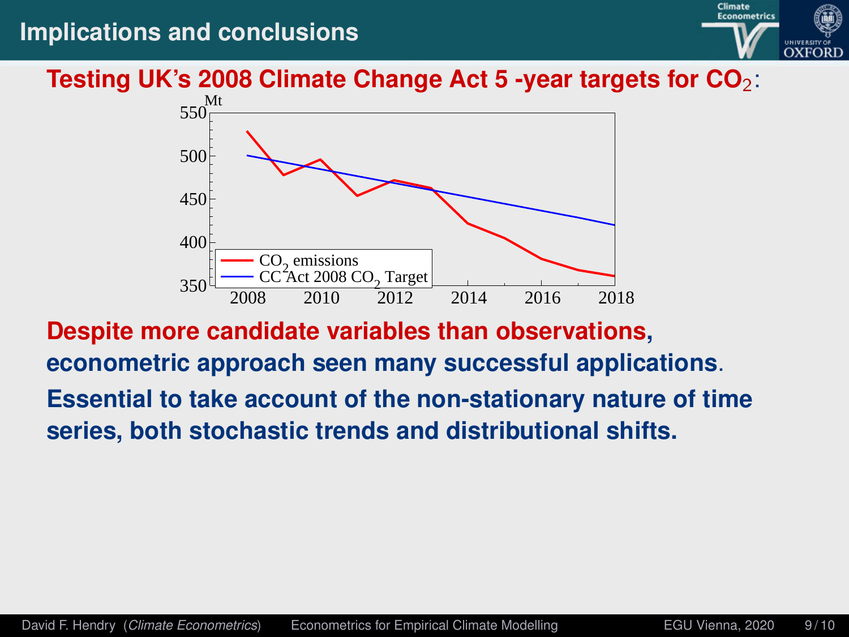### **Implications and conclusions**



#### **Testing UK's 2008 Climate Change Act 5 -year targets for CO**2:



**Despite more candidate variables than observations, econometric approach seen many successful applications**. **Essential to take account of the non-stationary nature of time series, both stochastic trends and distributional shifts.**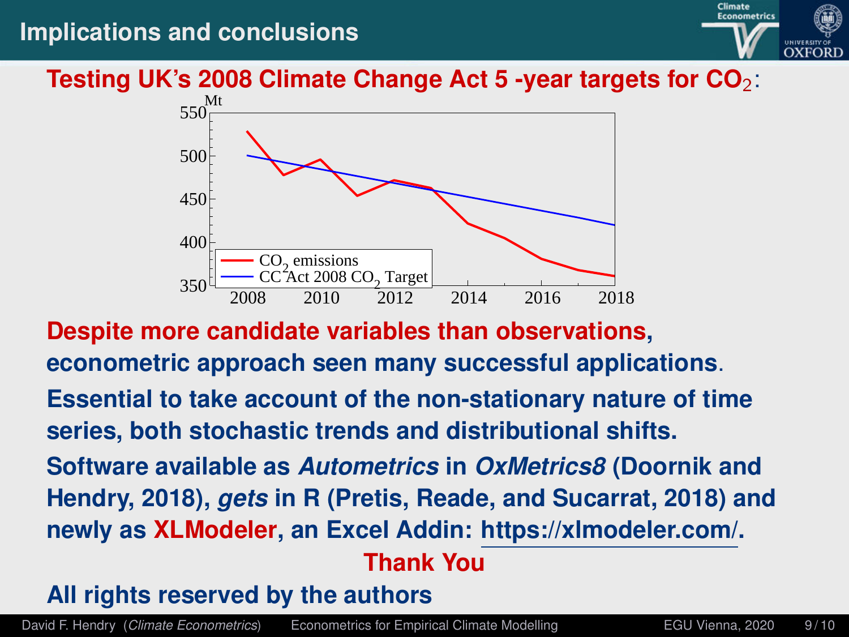### **Implications and conclusions**



#### **Testing UK's 2008 Climate Change Act 5 -year targets for CO**2:



**Despite more candidate variables than observations, econometric approach seen many successful applications**. **Essential to take account of the non-stationary nature of time series, both stochastic trends and distributional shifts.**

**Software available as** *Autometrics* **in** *OxMetrics8* **(Doornik and Hendry, 2018),** *gets* **in R (Pretis, Reade, and Sucarrat, 2018) and newly as XLModeler, an Excel Addin: https://xlmodeler.com/.**

### **Thank You**

### **All rights reserved by the authors**